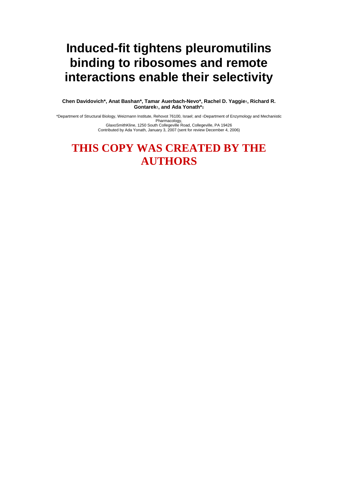# **Induced-fit tightens pleuromutilins binding to ribosomes and remote interactions enable their selectivity**

**Chen Davidovich\*, Anat Bashan\*, Tamar Auerbach-Nevo\*, Rachel D. Yaggie†, Richard R. Gontarek†, and Ada Yonath\*‡** 

\*Department of Structural Biology, Weizmann Institute, Rehovot 76100, Israel; and †Department of Enzymology and Mechanistic Pharmacology, GlaxoSmithKline, 1250 South Collegeville Road, Collegeville, PA 19426

Contributed by Ada Yonath, January 3, 2007 (sent for review December 4, 2006)

## **THIS COPY WAS CREATED BY THE AUTHORS**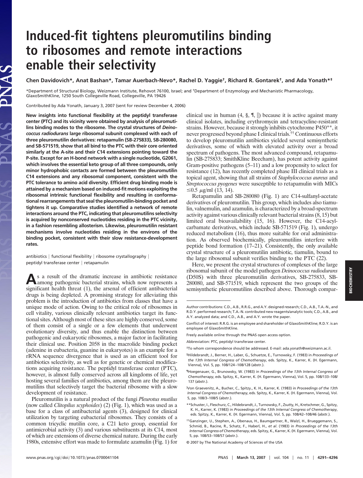## **Induced-fit tightens pleuromutilins binding to ribosomes and remote interactions enable their selectivity**

**Chen Davidovich\*, Anat Bashan\*, Tamar Auerbach-Nevo\*, Rachel D. Yaggie†, Richard R. Gontarek†, and Ada Yonath\*‡**

\*Department of Structural Biology, Weizmann Institute, Rehovot 76100, Israel; and †Department of Enzymology and Mechanistic Pharmacology, GlaxoSmithKline, 1250 South Collegeville Road, Collegeville, PA 19426

Contributed by Ada Yonath, January 3, 2007 (sent for review December 4, 2006)

JAS

**New insights into functional flexibility at the peptidyl transferase center (PTC) and its vicinity were obtained by analysis of pleuromutilins binding modes to the ribosome. The crystal structures of** *Deinococcus radiodurans* **large ribosomal subunit complexed with each of three pleuromutilin derivatives: retapamulin (SB-275833), SB-280080, and SB-571519, show that all bind to the PTC with their core oriented similarly at the A-site and their C14 extensions pointing toward the P-site. Except for an H-bond network with a single nucleotide, G2061, which involves the essential keto group of all three compounds, only minor hydrophobic contacts are formed between the pleuromutilin C14 extensions and any ribosomal component, consistent with the PTC tolerance to amino acid diversity. Efficient drug binding mode is attained by a mechanism based on induced-fit motions exploiting the ribosomal intrinsic functional flexibility and resulting in conformational rearrangements that seal the pleuromutilin-binding pocket and tightens it up. Comparative studies identified a network of remote interactions around the PTC, indicating that pleuromutilins selectivity is acquired by nonconserved nucleotides residing in the PTC vicinity, in a fashion resembling allosterism. Likewise, pleuromutilin resistant mechanisms involve nucleotides residing in the environs of the binding pocket, consistent with their slow resistance-development rates.**

antibiotics  $|$  functional flexibility  $|$  ribosome crystallography  $|$ peptidyl transferase center | retapamulin

**A**s a result of the dramatic increase in antibiotic resistance among pathogenic bacterial strains, which now represents a significant health threat (1), the arsenal of efficient antibacterial drugs is being depleted. A promising strategy for alleviating this problem is the introduction of antibiotics from classes that have a unique mode of action. Owing to the critical role of ribosomes in cell vitality, various clinically relevant antibiotics target its functional sites. Although most of these sites are highly conserved, some of them consist of a single or a few elements that underwent evolutionary diversity, and thus enable the distinction between pathogenic and eukaryotic ribosomes, a major factor in facilitating their clinical use. Position 2058 in the macrolide binding pocket (adenine in eubacteria, guanine in eukaryotes) is an example for a rRNA sequence divergence that is used as an efficient tool for antibiotics selectivity, as well as for genetic or chemical modifications acquiring resistance. The peptidyl transferase center (PTC), however, is almost fully conserved across all kingdoms of life, yet hosting several families of antibiotics, among them are the pleuromutilins that selectively target the bacterial ribosome with a slow development of resistance.

Pleuromutilin is a natural product of the fungi *Pleurotus mutilus* (now called *Clitopilus scyphoides*) (2) (Fig. 1), which was used as a base for a class of antibacterial agents (3), designed for clinical utilization by targeting eubacterial ribosomes. They consists of a common tricyclic mutilin core, a C21 keto group, essential for antimicrobial activity (3) and various substituents at its C14, most of which are extensions of diverse chemical nature. During the early 1980s, extensive effort was made to formulate azamulin (Fig. 1) for

clinical use in human  $(4, \S, \P, \|)$  because it is active against many clinical isolates, including erythromycin and tetracycline-resistant strains. However, because it strongly inhibits cytochrome P450\*\*, it never progressed beyond phase I clinical trials.†† Continuous efforts to develop pleuromutilin antibiotics yielded several semisynthetic derivatives, some of which with elevated activity over a broad spectrum of pathogens. The most advanced compound, retapamulin (SB-275833; SmithKline Beecham), has potent activity against Gram-positive pathogens (5–11) and a low propensity to select for resistance (12), has recently completed phase III clinical trials as a topical agent, showing that all strains of *Staphylococcus aureus* and *Streptococcus pyogenes* were susceptible to retapamulin with MICs  $\leq 0.5$   $\mu$ g/ml (13, 14).

Retapamulin and SB-280080 (Fig. 1) are C14-sulfanyl-acetate derivatives of pleuromutilin. This group, which includes also tiamulin, valnemulin, and azamulin, is characterized by a broad-spectrum activity against various clinically relevant bacterial strains (8, 15) but limited oral bioavailability (15, 16). However, the C14-acylcarbamate derivatives, which include SB-571519 (Fig. 1), undergo reduced metabolism (16), thus more suitable for oral administration. As observed biochemically, pleuromutilins interfere with peptide bond formation (17–21). Consistently, the only available crystal structure of a pleuromutilin antibiotic, tiamulin, bound to the large ribosomal subunit verifies binding to the PTC (22).

Here, we present the crystal structures of complexes of the large ribosomal subunit of the model pathogen *Deinococcus radiodurans* (D50S) with three pleuromutilin derivatives, SB-275833, SB-280080, and SB-571519, which represent the two groups of the semisynthetic pleuromutilins described above. Thorough compar-

Author contributions: C.D., A.B., R.R.G., and A.Y. designed research; C.D., A.B., T.A.-N., and R.D.Y. performed research; T.A.-N. contributed new reagents/analytic tools; C.D., A.B., and A.Y. analyzed data; and C.D., A.B., and A.Y. wrote the paper.

Conflict of interest: R.R.G. is an employee and shareholder of GlaxoSmithKline; R.D.Y. is an employee of GlaxoSmithKline.

Freely available online through the PNAS open access option.

Abbreviation: PTC, peptidyl transferase center.

<sup>‡</sup>To whom correspondence should be addressed. E-mail: ada.yonath@weizmann.ac.il.

<sup>§</sup>Hildebrandt, J., Berner, H., Laber, G., Schuetze, E., Turnowsky, F. (1983) in *Proceedings of the 13th Internal Congress of Chemotherapy*, eds. Spitzy, K., Karrer, K. (H. Egermann, Vienna), Vol. 5, pp. 108/124–108/128 (abstr.).

<sup>¶</sup>Hoegenauer, G., Brunowsky, W. (1983) in *Proceedings of the 13th Internal Congress of Chemotherapy*, eds. Spitzy, K., Karrer, K. (H. Egermann, Vienna), Vol. 5, pp. 108/133–108/ 137 (abstr.).

<sup>-</sup> Von Graevenitz, A., Bucher, C., Spitzy., K. H., Karrer, K. (1983) in *Proceedings of the 13th Internal Congress of Chemotherapy*, eds. Spitzy, K., Karrer, K. (H. Egermann, Vienna), Vol. 5, pp. 108/3–108/5 (abstr.).

<sup>\*\*</sup>Schuster, I., Fleschurz, C., Hildebrandt, J., Turnowsky, F., Zsutty, H., Kretschmer, G., Spitzy, K. H., Karrer, K. (1983) in *Proceedings of the 13th Internal Congress of Chemotherapy*, eds. Spitzy, K., Karrer, K. (H. Egermann, Vienna), Vol. 5, pp. 108/42–108/46 (abstr.).

<sup>††</sup>Ganzinger, U., Stephen, A., Obenaus, H., Baumgartner, R., Walzl, H., Brueggemann, S., Schmid, B., Racine, R., Schatz, F., Haberl, H., *et al*. (1983) in *Proceedings of the 13th Internal Congress of Chemotherapy*, eds. Spitzy, K., Karrer, K. (H. Egermann, Vienna), Vol. 5, pp. 108/53–108/57 (abstr.).

<sup>© 2007</sup> by The National Academy of Sciences of the USA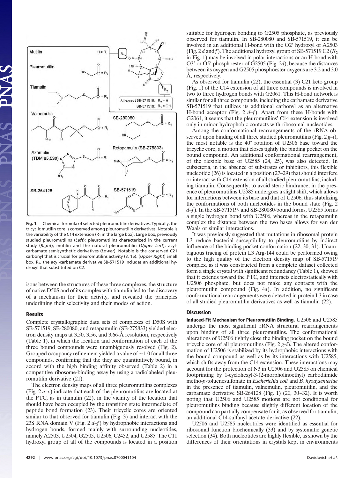

**Fig. 1.** Chemical formula of selected pleuromutilin derivatives. Typically, the tricyclic mutilin core is conserved among pleuromutilin derivatives. Notable is the variability of the C14 extension ( $R_1$  in the large box). Large box, previously studied pleuromutilins (*Left*); pleuromutilins characterized in the current study (*Right*); mutilin and the natural pleuromutilin (*Upper Left*); acylcarbamate semisynthetic derivatives (*Lower*). Notable is the conserved C21 carbonyl that is crucial for pleuromutilins activity (3, 16). (*Upper Right*) Small box, R2, the acyl-carbamate derivative SB-571519 includes an additional hydroxyl that substituted on C2.

isons between the structures of these three complexes, the structure of native D50S and of its complex with tiamulin led to the discovery of a mechanism for their activity, and revealed the principles underlining their selectivity and their modes of action.

#### **Results**

Complete crystallographic data sets of complexes of D50S with SB-571519, SB-280080, and retapamulin (SB-275833) yielded electron density maps at 3.50, 3.56, and 3.66-Å resolution, respectively (Table 1), in which the location and conformation of each of the three bound compounds were unambiguously resolved (Fig. 2). Grouped occupancy refinement yielded a value of  $\approx 1.0$  for all three compounds, confirming that the they are quantitatively bound, in accord with the high binding affinity observed (Table 2) in a competitive ribosome-binding assay by using a radiolabeled pleuromutilin derivative (21).

The electron density maps of all three pleuromutilins complexes (Fig. 2 *a*–*c*) indicate that each of the pleuromutilins are located at the PTC, as in tiamulin (22), in the vicinity of the location that should have been occupied by the transition state intermediate of peptide bond formation (23). Their tricyclic cores are oriented similar to that observed for tiamulin (Fig. 3) and interact with the 23S RNA domain V (Fig. 2 *d*–*f*) by hydrophobic interactions and hydrogen bonds, formed mainly with surrounding nucleotides, namely A2503, U2504, G2505, U2506, C2452, and U2585. The C11 hydroxyl group of all of the compounds is located in a position suitable for hydrogen bonding to G2505 phosphate, as previously observed for tiamulin. In SB-280080 and SB-571519, it can be involved in an additional H-bond with the O2' hydroxyl of A2503 (Fig. 2d and f). The additional hydroxyl group of SB-571519 C2 ( $R_2$ ) in Fig. 1) may be involved in polar interactions or an H-bond with O3' or O5' phosphoester of G2505 (Fig. 2d), because the distances between its oxygen and G2505 phosphoester oxygens are 3.2 and 3.0 Å, respectively.

As observed for tiamulin (22), the essential (3) C21 keto group (Fig. 1) of the C14 extension of all three compounds is involved in two to three hydrogen bonds with G2061. This H-bond network is similar for all three compounds, including the carbamate derivative SB-571519 that utilizes its additional carbonyl as an alternative H-bond acceptor (Fig. 2 *d*–*f*). Apart from these H-bonds with G2061, it seems that the pleuromutilins' C14 extension is involved only in minor hydrophobic contacts with ribosomal nucleotides.

Among the conformational rearrangements of the rRNA observed upon binding of all three studied pleuromutilins (Fig. 2 *g*–*i*), the most notable is the 40° rotation of U2506 base toward the tricyclic core, a motion that closes tightly the binding pocket on the bound compound. An additional conformational rearrangement, of the flexible base of U2585 (24, 25), was also detected. In eubacteria, in the absence of substrates or inhibitors, this flexible nucleotide (26) is located in a position (27–29) that should interfere or interact with C14 extension of all studied pleuromutilins, including tiamulin. Consequently, to avoid steric hindrance, in the presence of pleuromutilins U2585 undergoes a slight shift, which allows for interactions between its base and that of U2506, thus stabilizing the conformations of both nucleotides in the bound state (Fig. 2 *d*–*f*). In the SB-571519- and SB-280080-bound forms, U2585 forms a single hydrogen bond with U2506, whereas in the retapamulin complex the distance between the two bases allows for van der Waals or similar interactions.

It was previously suggested that mutations in ribosomal protein L3 reduce bacterial susceptibility to pleuromutilins by indirect influence of the binding pocket conformation (22, 30, 31). Unambiguous tracing of protein L3 Arg-144 could be performed owing to the high quality of the electron density map of SB-571519 complex, as it was constructed from a complete dataset collected form a single crystal with significant redundancy (Table 1), showed that it extends toward the PTC, and interacts electrostatically with U2506 phosphate, but does not make any contacts with the pleuromutilin compound (Fig. 4*a*). In addition, no significant conformational rearrangements were detected in protein L3 in case of all studied pleuromutilin derivatives as well as tiamulin (22).

## **Discussion**

**Induced-Fit Mechanism for Pleuromutilin Binding.** U2506 and U2585 undergo the most significant rRNA structural rearrangements upon binding of all three pleuromutilins. The conformational alterations of U2506 tightly close the binding pocket on the bound tricyclic core of all pleuromutilins (Fig.  $2 g-i$ ). The altered conformation of U2506 is stabilized by its hydrophobic interactions with the bound compound as well as by its interactions with U2585, which shifts away from the C14 extension. These interactions may account for the protection of N3 in U2506 and U2585 on chemical footprinting by 1-cyclohexyl-3-(2-morpholinoethyl) carbodiimide metho-*p*-toluenesulfonate in *Escherichia coli* and *B. hyodysenteriae* in the presence of tiamulin, valnemulin, pleuromutilin, and the carbamate derivative SB-264128 (Fig. 1) (20, 30–32). It is worth noting that U2506 and U2585 motions are not conditional for pleuromutilins binding because slightly different location of the compound can partially compensate for it, as observed for tiamulin, an additional C14-sulfanyl acetate derivative (22).

U2506 and U2585 nucleotides were identified as essential for ribosomal function biochemically (33) and by systematic genetic selection (34). Both nucleotides are highly flexible, as shown by the differences of their orientations in crystals kept in environments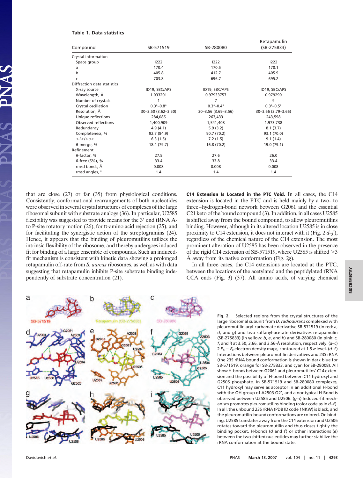### **Table 1. Data statistics**

| Compound                    | SB-571519                   | SB-280080                   | Retapamulin<br>(SB-275833)  |
|-----------------------------|-----------------------------|-----------------------------|-----------------------------|
|                             |                             |                             |                             |
| Space group                 | 1222                        | 1222                        | 1222                        |
| a                           | 170.4                       | 170.5                       | 170.1                       |
| b                           | 405.8                       | 412.7                       | 405.9                       |
| $\epsilon$                  | 703.8                       | 696.7                       | 695.2                       |
| Diffraction data statistics |                             |                             |                             |
| X-ray source                | ID19, SBC/APS               | ID19, SBC/APS               | ID19, SBC/APS               |
| Wavelength, Å               | 1.033201                    | 0.97933757                  | 0.979290                    |
| Number of crystals          |                             | 7                           | 9                           |
| Crystal oscillation         | $0.3^{\circ} - 0.8^{\circ}$ | $0.3^{\circ} - 0.4^{\circ}$ | $0.3^{\circ} - 0.5^{\circ}$ |
| Resolution, Å               | 30-3.50 (3.62-3.50)         | 30-3.56 (3.69-3.56)         | 30-3.66 (3.79-3.66)         |
| Unique reflections          | 284.085                     | 263,433                     | 243,598                     |
| Observed reflections        | 1,400,909                   | 1,541,408                   | 1,973,738                   |
| Redundancy                  | 4.9(4.1)                    | 5.9(3.2)                    | 8.1(3.7)                    |
| Completeness, %             | 92.7 (84.9)                 | 90.7 (70.2)                 | 93.1 (70.0)                 |
| $< I > I < \sigma$ >        | 6.3(1.5)                    | 7.2(1.5)                    | 9.1(1.4)                    |
| R-merge, %                  | 18.4 (79.7)                 | 16.8 (70.2)                 | 19.0 (79.1)                 |
| Refinement                  |                             |                             |                             |
| R-factor, %                 | 27.5                        | 27.6                        | 26.0                        |
| R-free (5%), %              | 33.4                        | 33.8                        | 33.4                        |
| rmsd bonds, Å               | 0.008                       | 0.008                       | 0.008                       |
| rmsd angles, °              | 1.4                         | 1.4                         | 1.4                         |

that are close (27) or far (35) from physiological conditions. Consistently, conformational rearrangements of both nucleotides were observed in several crystal structures of complexes of the large ribosomal subunit with substrate analogs (36). In particular, U2585 flexibility was suggested to provide means for the 3' end tRNA Ato P-site rotatory motion (26), for D-amino acid rejection (25), and for facilitating the synergistic action of the streptogramins (24). Hence, it appears that the binding of pleuromutilins utilizes the intrinsic flexibility of the ribosome, and thereby undergoes induced fit for binding of a large ensemble of compounds. Such an inducedfit mechanism is consistent with kinetic data showing a prolonged retapamulin off-rate from *S. aureus* ribosomes, as well as with data suggesting that retapamulin inhibits P-site substrate binding independently of substrate concentration (21).

**C14 Extension Is Located in the PTC Void.** In all cases, the C14 extension is located in the PTC and is held mainly by a two- to three–hydrogen-bond network between G2061 and the essential C21 keto of the bound compound (3). In addition, in all cases U2585 is shifted away from the bound compound, to allow pleuromutilins binding. However, although in its altered location U2585 is in close proximity to C14 extension, it does not interact with it (Fig. 2 *d*–*f*), regardless of the chemical nature of the C14 extension. The most prominent alteration of U2585 has been observed in the presence of the rigid C14 extension of SB-571519, where U2585 is shifted  $>3$ Å away from its native conformation (Fig. 2*g*).

In all three cases, the C14 extensions are located at the PTC, between the locations of the acetylated and the peptidylated tRNA CCA ends (Fig. 3) (37). All amino acids, of varying chemical



**Fig. 2.** Selected regions from the crystal structures of the large ribosomal subunit from *D. radiodurans* complexed with pleuromutilin acyl-carbamate derivative SB-571519 (in red: *a*, *d*, and *g*) and two sulfanyl-acetate derivatives retapamulin (SB-275833) (in yellow: *b*, *e*, and *h*) and SB-280080 (in pink: *c*, *f*, and *i*) at 3.50, 3.66, and 3.56-Å resolution, respectively. (*a*–*c*)  $2 F_0 - F_c$  electron density maps, contoured at 1.5  $\sigma$  level. (*d–f*) Interactions between pleuromutilin derivatives and 23S rRNA (the 23S rRNA bound conformation is shown in dark blue for SB-571519, orange for SB-275833, and cyan for SB-28008). All show H-bonds between G2061 and pleuromutilins' C14 extension and the possibility of H-bond between C11 hydroxyl and G2505 phosphate. In SB-571519 and SB-280080 complexes, C11 hydroxyl may serve as acceptor in an additional H-bond with the OH group of A2503 O2', and a nontypical H-Bond is observed between U2585 and U2506. (*g*–*i*) Induced-fit mechanism promotes pleuromutilins binding (color code as in *d*–*f*). In all, the unbound 23S rRNA (PDB ID code 1NKW) is black, and the pleuromutilin-bound conformations are colored. On binding, U2585 translates away from the C14 extension and U2506 rotates toward the pleuromutilin and thus closes tightly the binding pocket. H-bonds (*d* and *f*) or other interactions (*e*) between the two shifted nucleotides may further stabilize the rRNA conformation at the bound state.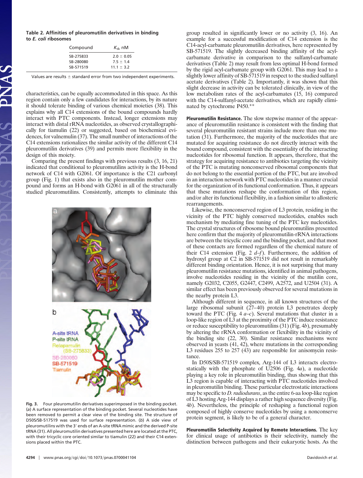**Table 2. Affinities of pleuromutilin derivatives in binding to** *E. coli* **ribosomes**

| Compound  | $K_{\rm d}$ , nM |  |
|-----------|------------------|--|
| SB-275833 | $20 + 0.05$      |  |
| SB-280080 | $75 + 14$        |  |
| SB-571519 | $111 + 32$       |  |

Values are results  $\pm$  standard error from two independent experiments.

characteristics, can be equally accommodated in this space. As this region contain only a few candidates for interactions, by its nature it should tolerate binding of various chemical moieties (38). This explains why all C14 extensions of the bound compounds hardly interact with PTC components. Instead, longer extensions may interact with distal rRNA nucleotides, as observed crystallographically for tiamulin (22) or suggested, based on biochemical evidences, for valnemulin (37). The small number of interactions of the C14 extensions rationalizes the similar activity of the different C14 pleuromutilin derivatives (39) and permits more flexibility in the design of this moiety.

Comparing the present findings with previous results (3, 16, 21) indicated that conditional to pleuromutilins activity is the H-bond network of C14 with G2061. Of importance is the C21 carbonyl group (Fig. 1) that exists also in the pleuromutilin mother compound and forms an H-bond with G2061 in all of the structurally studied pleuromutilins. Consistently, attempts to eliminate this



**Fig. 3.** Four pleuromutilin derivatives superimposed in the binding pocket. (*a*) A surface representation of the binding pocket. Several nucleotides have been removed to permit a clear view of the binding site. The structure of D50S/SB-517519 was used for surface representation. (*b*) A side view of pleuromutilins with the 3' ends of an A-site tRNA mimic and the derived P-site tRNA (31). All pleuromutilin derivatives presented here are located at the PTC, with their tricyclic core oriented similar to tiamulin (22) and their C14 extensions placed within the PTC.

group resulted in significantly lower or no activity (3, 16). An example for a successful modification of C14 extension is the C14-acyl-carbamate pleuromutilin derivatives, here represented by SB-571519. The slightly decreased binding affinity of the acylcarbamate derivative in comparison to the sulfanyl-carbamate derivatives (Table 2) may result from less optimal H-bond formed by the rigid acyl-carbamate group with G2061. This may lead to a slightly lower affinity of SB-571519 in respect to the studied sulfanyl acetate derivatives (Table 2). Importantly, it was shown that this slight decrease in activity can be tolerated clinically, in view of the low metabolism rates of the acyl-carbamates (15, 16) compared with the C14-sulfanyl-acetate derivatives, which are rapidly eliminated by cytochrome P450.\*\*

**Pleuromutilin Resistance.** The slow stepwise manner of the appearance of pleuromutilin resistance is consistent with the finding that several pleuromutilin resistant strains include more than one mutation (31). Furthermore, the majority of the nucleotides that are mutated for acquiring resistance do not directly interact with the bound compound, consistent with the essentiality of the interacting nucleotides for ribosomal function. It appears, therefore, that the strategy for acquiring resistance to antibiotics targeting the vicinity of the PTC is mutating nonconserved ribosomal components that do not belong to the essential portion of the PTC, but are involved in an interaction network with PTC nucleotides in a manner crucial for the organization of its functional conformation. Thus, it appears that these mutations reshape the conformation of this region, and/or alter its functional flexibility, in a fashion similar to allosteric rearrangements.

Likewise, the nonconserved region of L3 protein, residing in the vicinity of the PTC highly conserved nucleotides, enables such mechanism by mediating fine tuning of the PTC key nucleotides. The crystal structures of ribosome bound pleuromutilins presented here confirm that the majority of pleuromutilin-rRNA interactions are between the tricyclic core and the binding pocket, and that most of these contacts are formed regardless of the chemical nature of their C14 extension (Fig. 2 *d*–*f*). Furthermore, the addition of hydroxyl group at C2 in SB-571519 did not result in remarkably different binding orientation. Hence, it is not surprising that many pleuromutilin resistance mutations, identified in animal pathogens, involve nucleotides residing in the vicinity of the mutilin core, namely G2032, C2055, G2447, C2499, A2572, and U2504 (31). A similar effect has been previously observed for several mutations in the nearby protein L3.

Although different in sequence, in all known structures of the large ribosomal subunit (27–40) protein L3 penetrates deeply toward the PTC (Fig. 4 *a*–*c*). Several mutations that cluster in a loop-like region of L3 at the proximity of the PTC induce resistance or reduce susceptibility to pleuromutilins (31) (Fig. 4*b*), presumably by altering the rRNA conformation or flexibility in the vicinity of the binding site (22, 30). Similar resistance mechanisms were observed in yeasts (41, 42), where mutations in the corresponding L3 residues 255 to 257 (43) are responsible for anisomycin resistance

In D50S/SB-571519 complex, Arg-144 of L3 interacts electrostatically with the phosphate of U2506 (Fig. 4*a*), a nucleotide playing a key role in pleuromutilin binding, thus showing that this L3 region is capable of interacting with PTC nucleotides involved in pleuromutilin binding. These particular electrostatic interactions may be specific to *D. radiodurans*, as the entire 6-aa loop-like region of L3 hosting Arg-144 displays a rather high sequence diversity (Fig. 4*b*). Nevertheless, the principle of reshaping a functional region composed of highly conserve nucleotides by using a nonconserve protein segment, is likely to be of a general character.

**Pleuromutilin Selectivity Acquired by Remote Interactions.** The key for clinical usage of antibiotics is their selectivity, namely the distinction between pathogens and their eukaryotic hosts. As the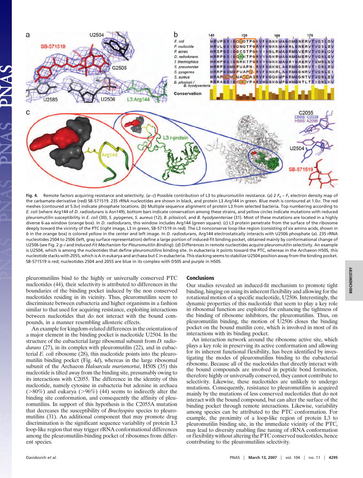

**Fig. 4.** Remote factors acquiring resistance and selectivity. (*a– c*) Possible contribution of L3 to pleuromutilin resistance. (*a*) 2 *F*<sup>o</sup> – *F*<sup>c</sup> electron density map of the carbamate-derivative (red) SB-571519. 23S rRNA nucleotides are shown in black, and protein L3 Arg144 in green. Blue mesh is contoured at 1.0 $\sigma$ . The red meshes (contoured at 5.0 $\sigma$ ) indicate phosphate locations. (b) Multiple sequence alignment of protein L3 from selected bacteria. Top numbering according to *E. coli* (where Arg144 of *D. radiodurans* is Asn149), bottom bars indicate conservation among these strains, and yellow circles indicate mutations with reduced pleuromutilin susceptibility in *E. coli* (30), *S. pyogenes*, *S. aureus* (12), *B. pilosicoli*, and *B. hyodysenteriae* (31). Most of these mutations are located in a highly diverse 6-aa window (orange box). In *D. radiodurans*, this window includes Arg144 (green square). (*c*) L3 protein penetrate from the surface of the ribosome deeply toward the vicinity of the PTC (right image, L3 in green, SB-571519 in red). The L3 nonconserve loop-like region (consisting of six amino acids, shown in *b* in the orange box) is colored yellow in the center and left image. In *D. radiodurans*, Arg144 electrostatically interacts with U2506 phosphate (*a*). 23S rRNA nucleotides 2504 to 2506 (left, gray surface representation) define a large portion of induced-fit binding pocket, obtained mainly by conformational change of U2506 (see Fig. 2 *g–i* and *Induced-Fit Mechanism for Pleuromutilin Binding*). (*d*) Differences in remote nucleotides acquire pleuromutilin selectivity. An example is U2504, which is among the nucleotides that define pleuromutilins binding site. In eubacteria it points toward the PTC, whereas in the Archaeon H50S, this nucleotide stacks with 2055, which is A in eukarya and archaea but C in eubacteria. This stacking seems to stabilize U2504 position away from the binding pocket. SB-571519 is red; nucleotides 2504 and 2055 are blue in its complex with D50S and purple in H50S.

pleuromutilins bind to the highly or universally conserved PTC nucleotides (44), their selectivity is attributed to differences in the boundaries of the binding pocket induced by the non conserved nucleotides residing in its vicinity. Thus, pleuromutilins seem to discriminate between eubacteria and higher organisms in a fashion similar to that used for acquiring resistance, exploiting interactions between nucleotides that do not interact with the bound compounds, in a manner resembling allosteric effects.

An example for kingdom-related differences in the orientation of a major element in the binding pocket is nucleotide U2504. In the structure of the eubacterial large ribosomal subunit from *D. radiodurans* (27), in its complex with pleuromutilin (22), and in eubacterial *E. coli* ribosome (28), this nucleotide points into the pleuromutilin binding pocket (Fig. 4*d*), whereas in the large ribosomal subunit of the Archaeon *Haloarcula marismortui*, H50S (35) this nucleotide is tilted away from the binding site, presumably owing to its interactions with C2055. The difference in the identity of this nucleotide, namely cytosine in eubacteria but adenine in archaea  $(>80\%)$  and eukarya  $(>96\%)$  (44) seems to indirectly alter the binding site conformation, and consequently the affinity of pleuromutilins. In support of this hypothesis is the C2055A mutation that decreases the susceptibility of *Brachyspira* species to pleuromutilins (31). An additional component that may promote drug discrimination is the significant sequence variability of protein L3 loop-like region that may trigger rRNA conformational differences among the pleuromutilin-binding pocket of ribosomes from different species.

### **Conclusions**

Our studies revealed an induced-fit mechanism to promote tight binding, hinging on using its inherent flexibility and allowing for the rotational motion of a specific nucleotide, U2506. Interestingly, the dynamic properties of this nucleotide that seem to play a key role in ribosomal function are exploited for enhancing the tightness of the binding of ribosome inhibitors, the pleuromutilins. Thus, on pleuromutilin binding, the motion of U2506 closes the binding pocket on the bound mutilin core, which is involved in most of its interactions with its binding pocket.

An interaction network around the ribosome active site, which plays a key role in preserving its active conformation and allowing for its inherent functional flexibility, has been identified by investigating the modes of pleuromutilins binding to the eubacterial ribosome. Because all of the nucleotides that directly interact with the bound compounds are involved in peptide bond formation, therefore highly or universally conserved, they cannot contribute to selectivity. Likewise, these nucleotides are unlikely to undergo mutations. Consequently, resistance to pleuromutilins is acquired mainly by the mutations of less conserved nucleotides that do not interact with the bound compound, but can alter the surface of the binding pocket through remote interactions. Likewise, variability among species can be attributed to the PTC conformation. For example, the proximity of a loop-like region of protein L3 to pleuromutilin binding site, in the immediate vicinity of the PTC, may lead to diversity enabling fine tuning of rRNA conformation or flexibility without altering the PTC conserved nucleotides, hence contributing to the pleuromutilins selectivity.